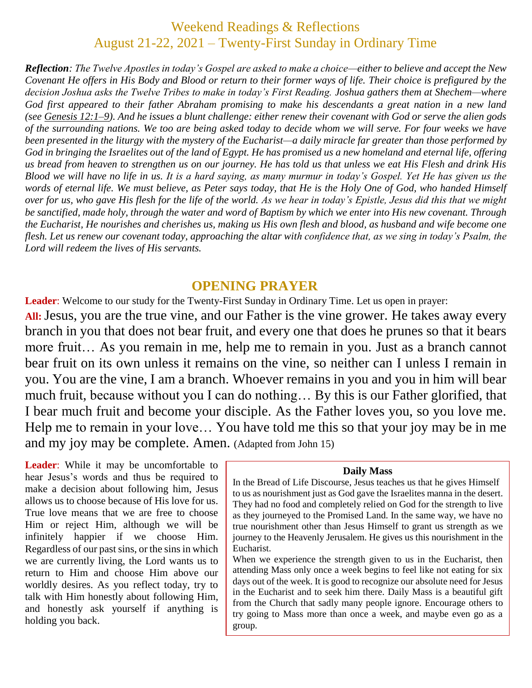# Weekend Readings & Reflections August 21-22, 2021 – Twenty-First Sunday in Ordinary Time

*Reflection: The Twelve Apostles in today's Gospel are asked to make a choice—either to believe and accept the New Covenant He offers in His Body and Blood or return to their former ways of life. Their choice is prefigured by the decision Joshua asks the Twelve Tribes to make in today's First Reading. Joshua gathers them at Shechem—where God first appeared to their father Abraham promising to make his descendants a great nation in a new land (see [Genesis](https://biblia.com/bible/rsvce/Gen%2012.1%E2%80%939) 12:1–9). And he issues a blunt challenge: either renew their covenant with God or serve the alien gods of the surrounding nations. We too are being asked today to decide whom we will serve. For four weeks we have been presented in the liturgy with the mystery of the Eucharist—a daily miracle far greater than those performed by God in bringing the Israelites out of the land of Egypt. He has promised us a new homeland and eternal life, offering us bread from heaven to strengthen us on our journey. He has told us that unless we eat His Flesh and drink His Blood we will have no life in us. It is a hard saying, as many murmur in today's Gospel. Yet He has given us the words of eternal life. We must believe, as Peter says today, that He is the Holy One of God, who handed Himself over for us, who gave His flesh for the life of the world. As we hear in today's Epistle, Jesus did this that we might be sanctified, made holy, through the water and word of Baptism by which we enter into His new covenant. Through the Eucharist, He nourishes and cherishes us, making us His own flesh and blood, as husband and wife become one flesh. Let us renew our covenant today, approaching the altar with confidence that, as we sing in today's Psalm, the Lord will redeem the lives of His servants.*

#### **OPENING PRAYER**

**Leader**: Welcome to our study for the Twenty-First Sunday in Ordinary Time. Let us open in prayer:

**All:**Jesus, you are the true vine, and our Father is the vine grower. He takes away every branch in you that does not bear fruit, and every one that does he prunes so that it bears more fruit… As you remain in me, help me to remain in you. Just as a branch cannot bear fruit on its own unless it remains on the vine, so neither can I unless I remain in you. You are the vine, I am a branch. Whoever remains in you and you in him will bear much fruit, because without you I can do nothing… By this is our Father glorified, that I bear much fruit and become your disciple. As the Father loves you, so you love me. Help me to remain in your love… You have told me this so that your joy may be in me and my joy may be complete. Amen. (Adapted from John 15)

**Leader**: While it may be uncomfortable to hear Jesus's words and thus be required to make a decision about following him, Jesus allows us to choose because of His love for us. True love means that we are free to choose Him or reject Him, although we will be infinitely happier if we choose Him. Regardless of our past sins, or the sins in which we are currently living, the Lord wants us to return to Him and choose Him above our worldly desires. As you reflect today, try to talk with Him honestly about following Him, and honestly ask yourself if anything is holding you back.

#### **Daily Mass**

In the Bread of Life Discourse, Jesus teaches us that he gives Himself to us as nourishment just as God gave the Israelites manna in the desert. They had no food and completely relied on God for the strength to live as they journeyed to the Promised Land. In the same way, we have no true nourishment other than Jesus Himself to grant us strength as we journey to the Heavenly Jerusalem. He gives us this nourishment in the Eucharist.

When we experience the strength given to us in the Eucharist, then attending Mass only once a week begins to feel like not eating for six days out of the week. It is good to recognize our absolute need for Jesus in the Eucharist and to seek him there. Daily Mass is a beautiful gift from the Church that sadly many people ignore. Encourage others to try going to Mass more than once a week, and maybe even go as a group.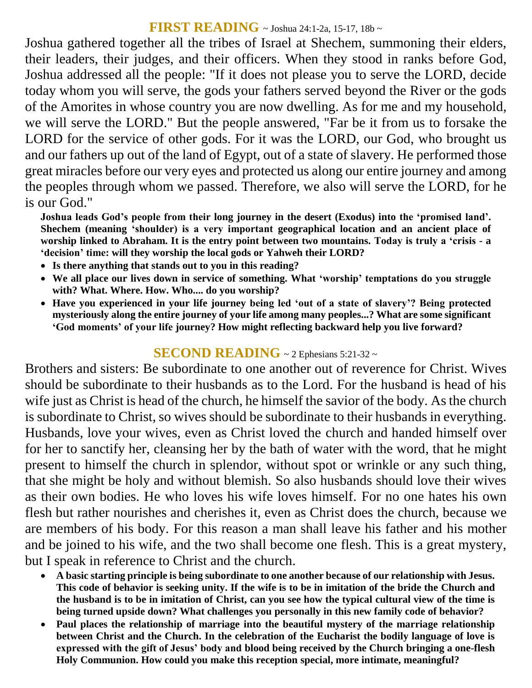### **FIRST READING** ~ Joshua 24:1-2a, 15-17, 18b <sup>~</sup>

Joshua gathered together all the tribes of Israel at Shechem, summoning their elders, their leaders, their judges, and their officers. When they stood in ranks before God, Joshua addressed all the people: "If it does not please you to serve the LORD, decide today whom you will serve, the gods your fathers served beyond the River or the gods of the Amorites in whose country you are now dwelling. As for me and my household, we will serve the LORD." But the people answered, "Far be it from us to forsake the LORD for the service of other gods. For it was the LORD, our God, who brought us and our fathers up out of the land of Egypt, out of a state of slavery. He performed those great miracles before our very eyes and protected us along our entire journey and among the peoples through whom we passed. Therefore, we also will serve the LORD, for he is our God."

**Joshua leads God's people from their long journey in the desert (Exodus) into the 'promised land'. Shechem (meaning 'shoulder) is a very important geographical location and an ancient place of worship linked to Abraham. It is the entry point between two mountains. Today is truly a 'crisis - a 'decision' time: will they worship the local gods or Yahweh their LORD?** 

- **Is there anything that stands out to you in this reading?**
- **We all place our lives down in service of something. What 'worship' temptations do you struggle with? What. Where. How. Who.... do you worship?**
- **Have you experienced in your life journey being led 'out of a state of slavery'? Being protected mysteriously along the entire journey of your life among many peoples...? What are some significant 'God moments' of your life journey? How might reflecting backward help you live forward?**

#### **SECOND READING** ~ 2 Ephesians 5:21-32 <sup>~</sup>

Brothers and sisters: Be subordinate to one another out of reverence for Christ. Wives should be subordinate to their husbands as to the Lord. For the husband is head of his wife just as Christ is head of the church, he himself the savior of the body. As the church is subordinate to Christ, so wives should be subordinate to their husbands in everything. Husbands, love your wives, even as Christ loved the church and handed himself over for her to sanctify her, cleansing her by the bath of water with the word, that he might present to himself the church in splendor, without spot or wrinkle or any such thing, that she might be holy and without blemish. So also husbands should love their wives as their own bodies. He who loves his wife loves himself. For no one hates his own flesh but rather nourishes and cherishes it, even as Christ does the church, because we are members of his body. For this reason a man shall leave his father and his mother and be joined to his wife, and the two shall become one flesh. This is a great mystery, but I speak in reference to Christ and the church.

- **A basic starting principle is being subordinate to one another because of our relationship with Jesus. This code of behavior is seeking unity. If the wife is to be in imitation of the bride the Church and the husband is to be in imitation of Christ, can you see how the typical cultural view of the time is being turned upside down? What challenges you personally in this new family code of behavior?**
- **Paul places the relationship of marriage into the beautiful mystery of the marriage relationship between Christ and the Church. In the celebration of the Eucharist the bodily language of love is expressed with the gift of Jesus' body and blood being received by the Church bringing a one-flesh Holy Communion. How could you make this reception special, more intimate, meaningful?**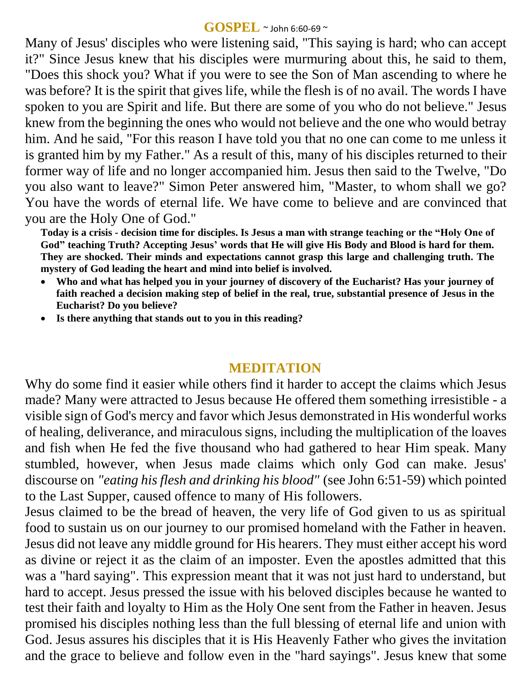#### **GOSPEL** ~ John 6:60-69 <sup>~</sup>

Many of Jesus' disciples who were listening said, "This saying is hard; who can accept it?" Since Jesus knew that his disciples were murmuring about this, he said to them, "Does this shock you? What if you were to see the Son of Man ascending to where he was before? It is the spirit that gives life, while the flesh is of no avail. The words I have spoken to you are Spirit and life. But there are some of you who do not believe." Jesus knew from the beginning the ones who would not believe and the one who would betray him. And he said, "For this reason I have told you that no one can come to me unless it is granted him by my Father." As a result of this, many of his disciples returned to their former way of life and no longer accompanied him. Jesus then said to the Twelve, "Do you also want to leave?" Simon Peter answered him, "Master, to whom shall we go? You have the words of eternal life. We have come to believe and are convinced that you are the Holy One of God."

**Today is a crisis - decision time for disciples. Is Jesus a man with strange teaching or the "Holy One of God" teaching Truth? Accepting Jesus' words that He will give His Body and Blood is hard for them. They are shocked. Their minds and expectations cannot grasp this large and challenging truth. The mystery of God leading the heart and mind into belief is involved.** 

- **Who and what has helped you in your journey of discovery of the Eucharist? Has your journey of faith reached a decision making step of belief in the real, true, substantial presence of Jesus in the Eucharist? Do you believe?**
- **Is there anything that stands out to you in this reading?**

## **MEDITATION**

Why do some find it easier while others find it harder to accept the claims which Jesus made? Many were attracted to Jesus because He offered them something irresistible - a visible sign of God's mercy and favor which Jesus demonstrated in His wonderful works of healing, deliverance, and miraculous signs, including the multiplication of the loaves and fish when He fed the five thousand who had gathered to hear Him speak. Many stumbled, however, when Jesus made claims which only God can make. Jesus' discourse on *"eating his flesh and drinking his blood"* (see John 6:51-59) which pointed to the Last Supper, caused offence to many of His followers.

Jesus claimed to be the bread of heaven, the very life of God given to us as spiritual food to sustain us on our journey to our promised homeland with the Father in heaven. Jesus did not leave any middle ground for His hearers. They must either accept his word as divine or reject it as the claim of an imposter. Even the apostles admitted that this was a "hard saying". This expression meant that it was not just hard to understand, but hard to accept. Jesus pressed the issue with his beloved disciples because he wanted to test their faith and loyalty to Him as the Holy One sent from the Father in heaven. Jesus promised his disciples nothing less than the full blessing of eternal life and union with God. Jesus assures his disciples that it is His Heavenly Father who gives the invitation and the grace to believe and follow even in the "hard sayings". Jesus knew that some